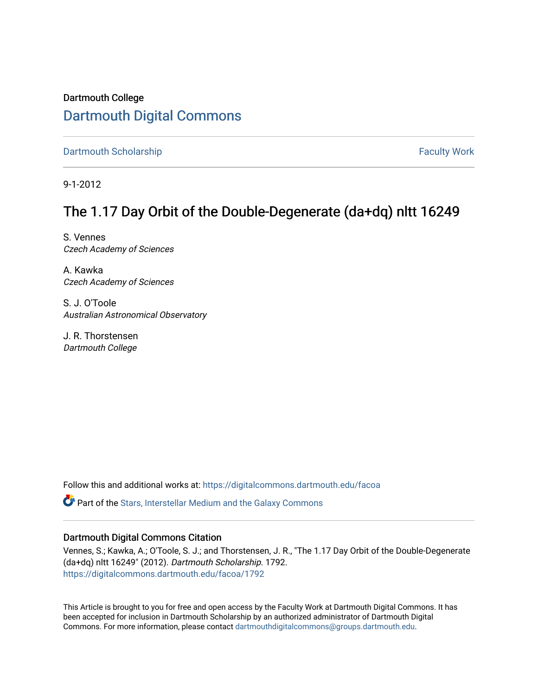## Dartmouth College [Dartmouth Digital Commons](https://digitalcommons.dartmouth.edu/)

[Dartmouth Scholarship](https://digitalcommons.dartmouth.edu/facoa) Faculty Work

9-1-2012

# The 1.17 Day Orbit of the Double-Degenerate (da+dq) nltt 16249

S. Vennes Czech Academy of Sciences

A. Kawka Czech Academy of Sciences

S. J. O'Toole Australian Astronomical Observatory

J. R. Thorstensen Dartmouth College

Follow this and additional works at: [https://digitalcommons.dartmouth.edu/facoa](https://digitalcommons.dartmouth.edu/facoa?utm_source=digitalcommons.dartmouth.edu%2Ffacoa%2F1792&utm_medium=PDF&utm_campaign=PDFCoverPages)

Part of the [Stars, Interstellar Medium and the Galaxy Commons](http://network.bepress.com/hgg/discipline/127?utm_source=digitalcommons.dartmouth.edu%2Ffacoa%2F1792&utm_medium=PDF&utm_campaign=PDFCoverPages) 

## Dartmouth Digital Commons Citation

Vennes, S.; Kawka, A.; O'Toole, S. J.; and Thorstensen, J. R., "The 1.17 Day Orbit of the Double-Degenerate (da+dq) nltt 16249" (2012). Dartmouth Scholarship. 1792. [https://digitalcommons.dartmouth.edu/facoa/1792](https://digitalcommons.dartmouth.edu/facoa/1792?utm_source=digitalcommons.dartmouth.edu%2Ffacoa%2F1792&utm_medium=PDF&utm_campaign=PDFCoverPages) 

This Article is brought to you for free and open access by the Faculty Work at Dartmouth Digital Commons. It has been accepted for inclusion in Dartmouth Scholarship by an authorized administrator of Dartmouth Digital Commons. For more information, please contact [dartmouthdigitalcommons@groups.dartmouth.edu](mailto:dartmouthdigitalcommons@groups.dartmouth.edu).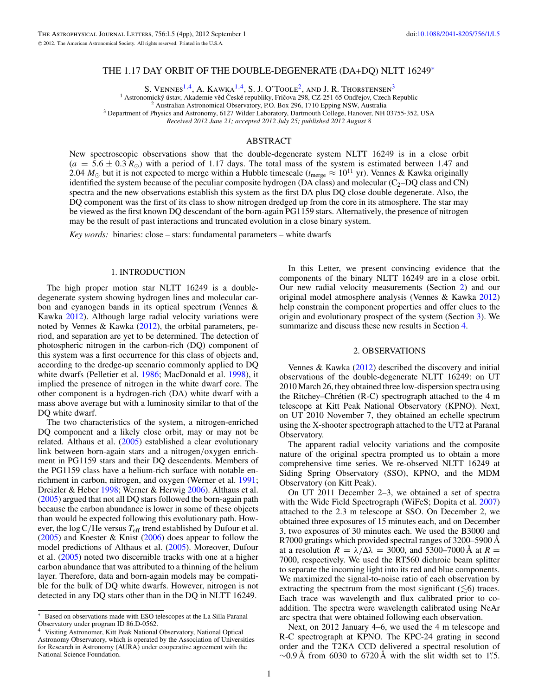### THE 1.17 DAY ORBIT OF THE DOUBLE-DEGENERATE (DA+DQ) NLTT 16249<sup>∗</sup>

S. VENNES<sup>1,4</sup>, A. KAWKA<sup>1,4</sup>, S. J. O'TOOLE<sup>2</sup>, AND J. R. THORSTENSEN<sup>3</sup><br><sup>1</sup> Astronomický ústav, Akademie věd České republiky, Fričova 298, CZ-251 65 Ondřejov, Czech Republic

<sup>2</sup> Australian Astronomical Observatory, P.O. Box 296, 1710 Epping NSW, Australia<sup>3</sup> Department of Physics and Astronomy, 6127 Wilder Laboratory, Dartmouth College, Hanover, NH 03755-352, USA

*Received 2012 June 21; accepted 2012 July 25; published 2012 August 8*

#### ABSTRACT

New spectroscopic observations show that the double-degenerate system NLTT 16249 is in a close orbit  $(a = 5.6 \pm 0.3 R_{\odot})$  with a period of 1.17 days. The total mass of the system is estimated between 1.47 and 2.04  $M_{\odot}$  but it is not expected to merge within a Hubble timescale ( $t_{\text{merge}} \approx 10^{11}$  yr). Vennes & Kawka originally identified the system because of the peculiar composite hydrogen (DA class) and molecular ( $C_2$ –DQ class and CN) spectra and the new observations establish this system as the first DA plus DQ close double degenerate. Also, the DQ component was the first of its class to show nitrogen dredged up from the core in its atmosphere. The star may be viewed as the first known DQ descendant of the born-again PG1159 stars. Alternatively, the presence of nitrogen may be the result of past interactions and truncated evolution in a close binary system.

*Key words:* binaries: close – stars: fundamental parameters – white dwarfs

#### 1. INTRODUCTION

The high proper motion star NLTT 16249 is a doubledegenerate system showing hydrogen lines and molecular carbon and cyanogen bands in its optical spectrum (Vennes & Kawka [2012\)](#page-4-0). Although large radial velocity variations were noted by Vennes & Kawka [\(2012\)](#page-4-0), the orbital parameters, period, and separation are yet to be determined. The detection of photospheric nitrogen in the carbon-rich (DQ) component of this system was a first occurrence for this class of objects and, according to the dredge-up scenario commonly applied to DQ white dwarfs (Pelletier et al. [1986;](#page-4-0) MacDonald et al. [1998\)](#page-4-0), it implied the presence of nitrogen in the white dwarf core. The other component is a hydrogen-rich (DA) white dwarf with a mass above average but with a luminosity similar to that of the DQ white dwarf.

The two characteristics of the system, a nitrogen-enriched DQ component and a likely close orbit, may or may not be related. Althaus et al. [\(2005\)](#page-4-0) established a clear evolutionary link between born-again stars and a nitrogen*/*oxygen enrichment in PG1159 stars and their DQ descendents. Members of the PG1159 class have a helium-rich surface with notable enrichment in carbon, nitrogen, and oxygen (Werner et al. [1991;](#page-4-0) Dreizler & Heber [1998;](#page-4-0) Werner & Herwig [2006\)](#page-4-0). Althaus et al. [\(2005\)](#page-4-0) argued that not all DQ stars followed the born-again path because the carbon abundance is lower in some of these objects than would be expected following this evolutionary path. However, the log C/He versus  $T_{\text{eff}}$  trend established by Dufour et al. [\(2005\)](#page-4-0) and Koester & Knist [\(2006\)](#page-4-0) does appear to follow the model predictions of Althaus et al. [\(2005\)](#page-4-0). Moreover, Dufour et al. [\(2005\)](#page-4-0) noted two discernible tracks with one at a higher carbon abundance that was attributed to a thinning of the helium layer. Therefore, data and born-again models may be compatible for the bulk of DQ white dwarfs. However, nitrogen is not detected in any DQ stars other than in the DQ in NLTT 16249.

In this Letter, we present convincing evidence that the components of the binary NLTT 16249 are in a close orbit. Our new radial velocity measurements (Section 2) and our original model atmosphere analysis (Vennes & Kawka [2012\)](#page-4-0) help constrain the component properties and offer clues to the origin and evolutionary prospect of the system (Section [3\)](#page-2-0). We summarize and discuss these new results in Section [4.](#page-3-0)

### 2. OBSERVATIONS

Vennes & Kawka [\(2012\)](#page-4-0) described the discovery and initial observations of the double-degenerate NLTT 16249: on UT 2010 March 26, they obtained three low-dispersion spectra using the Ritchey–Chrétien  $(R-C)$  spectrograph attached to the 4 m telescope at Kitt Peak National Observatory (KPNO). Next, on UT 2010 November 7, they obtained an echelle spectrum using the X-shooter spectrograph attached to the UT2 at Paranal Observatory.

The apparent radial velocity variations and the composite nature of the original spectra prompted us to obtain a more comprehensive time series. We re-observed NLTT 16249 at Siding Spring Observatory (SSO), KPNO, and the MDM Observatory (on Kitt Peak).

On UT 2011 December 2–3, we obtained a set of spectra with the Wide Field Spectrograph (WiFeS; Dopita et al. [2007\)](#page-4-0) attached to the 2.3 m telescope at SSO. On December 2, we obtained three exposures of 15 minutes each, and on December 3, two exposures of 30 minutes each. We used the B3000 and R7000 gratings which provided spectral ranges of 3200–5900 Å at a resolution  $R = \lambda/\Delta\lambda = 3000$ , and 5300–7000 Å at  $R =$ 7000, respectively. We used the RT560 dichroic beam splitter to separate the incoming light into its red and blue components. We maximized the signal-to-noise ratio of each observation by extracting the spectrum from the most significant  $(\leq 6)$  traces. Each trace was wavelength and flux calibrated prior to coaddition. The spectra were wavelength calibrated using NeAr arc spectra that were obtained following each observation.

Next, on 2012 January 4–6, we used the 4 m telescope and R-C spectrograph at KPNO. The KPC-24 grating in second order and the T2KA CCD delivered a spectral resolution of ∼0.9 Å from 6030 to 6720 Å with the slit width set to 1*.* 5.

Based on observations made with ESO telescopes at the La Silla Paranal Observatory under program ID 86.D-0562.

<sup>4</sup> Visiting Astronomer, Kitt Peak National Observatory, National Optical Astronomy Observatory, which is operated by the Association of Universities for Research in Astronomy (AURA) under cooperative agreement with the National Science Foundation.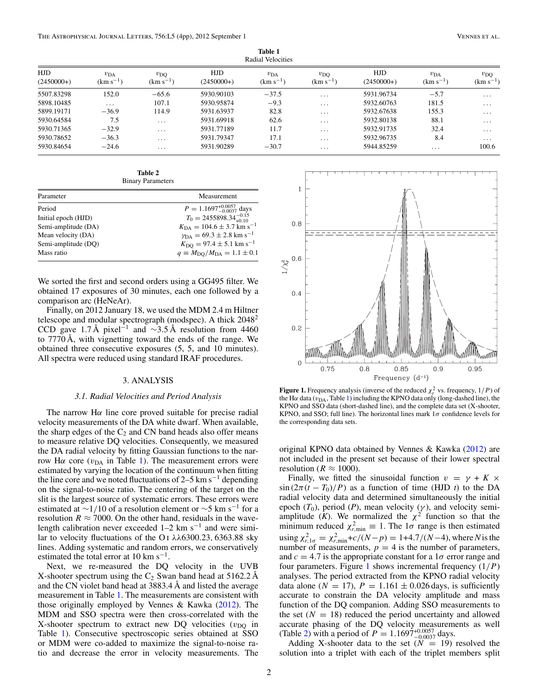<span id="page-2-0"></span>

| ------<br>Radial Velocities |                               |                               |                     |                                  |                               |                     |                               |                               |
|-----------------------------|-------------------------------|-------------------------------|---------------------|----------------------------------|-------------------------------|---------------------|-------------------------------|-------------------------------|
| <b>HJD</b><br>$(2450000+)$  | $v_{\rm DA}$<br>$(km s^{-1})$ | $v_{\rm DO}$<br>$(km s^{-1})$ | HJD<br>$(2450000+)$ | $v_{\text{DA}}$<br>$(km s^{-1})$ | $v_{\rm DO}$<br>$(km s^{-1})$ | HJD<br>$(2450000+)$ | $v_{\rm DA}$<br>$(km s^{-1})$ | $v_{\rm DO}$<br>$(km s^{-1})$ |
| 5507.83298                  | 152.0                         | $-65.6$                       | 5930.90103          | $-37.5$                          | $\cdots$                      | 5931.96734          | $-5.7$                        | $\cdots$                      |
| 5898.10485                  | $\cdot$ $\cdot$ $\cdot$       | 107.1                         | 5930.95874          | $-9.3$                           | $\cdot$ $\cdot$ $\cdot$       | 5932.60763          | 181.5                         | $\cdot$ $\cdot$ $\cdot$       |
| 5899.19171                  | $-36.9$                       | 114.9                         | 5931.63937          | 82.8                             | $\cdots$                      | 5932.67638          | 155.3                         | $\cdots$                      |
| 5930.64584                  | 7.5                           | $\cdots$                      | 5931.69918          | 62.6                             | $\cdots$                      | 5932.80138          | 88.1                          | $\cdot\cdot\cdot$             |
| 5930.71365                  | $-32.9$                       | $\cdots$                      | 5931.77189          | 11.7                             | $\cdots$                      | 5932.91735          | 32.4                          | $\cdots$                      |
| 5930.78652                  | $-36.3$                       | $\cdots$                      | 5931.79347          | 17.1                             | $\cdots$                      | 5932.96735          | 8.4                           | $\cdots$                      |
| 5930.84654                  | $-24.6$                       | $\cdots$                      | 5931.90289          | $-30.7$                          | $\cdot$                       | 5944.85259          | $\cdots$                      | 100.6                         |

**Table 1**

**Table 2** Binary Parameters

| Parameter           | Measurement                                       |
|---------------------|---------------------------------------------------|
| Period              | $P = 1.1697^{+0.0057}_{-0.0037}$ days             |
| Initial epoch (HJD) | $T_0 = 2455898.34_{+0.10}^{-0.15}$                |
| Semi-amplitude (DA) | $K_{\text{DA}} = 104.6 \pm 3.7 \text{ km s}^{-1}$ |
| Mean velocity (DA)  | $v_{DA} = 69.3 \pm 2.8$ km s <sup>-1</sup>        |
| Semi-amplitude (DQ) | $K_{\rm DO} = 97.4 \pm 5.1$ km s <sup>-1</sup>    |
| Mass ratio          | $q \equiv M_{\rm DO}/M_{\rm DA} = 1.1 \pm 0.1$    |
|                     |                                                   |

We sorted the first and second orders using a GG495 filter. We obtained 17 exposures of 30 minutes, each one followed by a comparison arc (HeNeAr).

Finally, on 2012 January 18, we used the MDM 2.4 m Hiltner telescope and modular spectrograph (modspec). A thick 20482 CCD gave 1.7 Å pixel<sup>-1</sup> and  $\sim$ 3.5 Å resolution from 4460 to 7770 Å, with vignetting toward the ends of the range. We obtained three consecutive exposures (5, 5, and 10 minutes). All spectra were reduced using standard IRAF procedures.

## 3. ANALYSIS

### *3.1. Radial Velocities and Period Analysis*

The narrow  $H\alpha$  line core proved suitable for precise radial velocity measurements of the DA white dwarf. When available, the sharp edges of the  $C_2$  and CN band heads also offer means to measure relative DQ velocities. Consequently, we measured the DA radial velocity by fitting Gaussian functions to the narrow Η $α$  core ( $v<sub>DA</sub>$  in Table 1). The measurement errors were estimated by varying the location of the continuum when fitting the line core and we noted fluctuations of 2–5 km s<sup>-1</sup> depending on the signal-to-noise ratio. The centering of the target on the slit is the largest source of systematic errors. These errors were estimated at ~1/10 of a resolution element or ~5 km s<sup>-1</sup> for a resolution  $R \approx 7000$ . On the other hand, residuals in the wavelength calibration never exceeded  $1-2$  km s<sup>-1</sup> and were similar to velocity fluctuations of the O i *λλ*6300*.*23*,* 6363*.*88 sky lines. Adding systematic and random errors, we conservatively estimated the total error at 10 km s<sup> $-1$ </sup>.

Next, we re-measured the DQ velocity in the UVB X-shooter spectrum using the  $C_2$  Swan band head at 5162.2 Å and the CN violet band head at 3883.4 Å and listed the average measurement in Table 1. The measurements are consistent with those originally employed by Vennes & Kawka [\(2012\)](#page-4-0). The MDM and SSO spectra were then cross-correlated with the X-shooter spectrum to extract new DQ velocities  $(v_{\text{DO}})$  in Table 1). Consecutive spectroscopic series obtained at SSO or MDM were co-added to maximize the signal-to-noise ratio and decrease the error in velocity measurements. The



**Figure 1.** Frequency analysis (inverse of the reduced  $\chi^2$ , vs. frequency,  $1/P$ ) of the H $\alpha$  data ( $v_{\text{DA}}$ , Table 1) including the KPNO data only (long-dashed line), the KPNO and SSO data (short-dashed line), and the complete data set (X-shooter, KPNO, and SSO; full line). The horizontal lines mark 1*σ* confidence levels for the corresponding data sets.

original KPNO data obtained by Vennes & Kawka [\(2012\)](#page-4-0) are not included in the present set because of their lower spectral resolution ( $R \approx 1000$ ).

Finally, we fitted the sinusoidal function  $v = \gamma + K \times$  $\sin(2\pi(t - T_0)/P)$  as a function of time (HJD *t*) to the DA radial velocity data and determined simultaneously the initial epoch  $(T_0)$ , period  $(P)$ , mean velocity  $(\gamma)$ , and velocity semiamplitude ( $K$ ). We normalized the  $\chi^2$  function so that the minimum reduced  $\chi^2_{r,\text{min}} \equiv 1$ . The  $1\sigma$  range is then estimated  $x_{r,1\sigma}^2 = \chi_{r,\min}^2 + c/(N-p) = 1+4.7/(N-4)$ , where *N* is the number of measurements,  $p = 4$  is the number of parameters, and  $c = 4.7$  is the appropriate constant for a  $1\sigma$  error range and four parameters. Figure 1 shows incremental frequency (1*/P*) analyses. The period extracted from the KPNO radial velocity data alone  $(N = 17)$ ,  $P = 1.161 \pm 0.026$  days, is sufficiently accurate to constrain the DA velocity amplitude and mass function of the DQ companion. Adding SSO measurements to the set  $(N = 18)$  reduced the period uncertainty and allowed accurate phasing of the DQ velocity measurements as well (Table 2) with a period of  $P = 1.1697_{-0.0037}^{+0.0057}$  days.

Adding X-shooter data to the set  $(N = 19)$  resolved the solution into a triplet with each of the triplet members split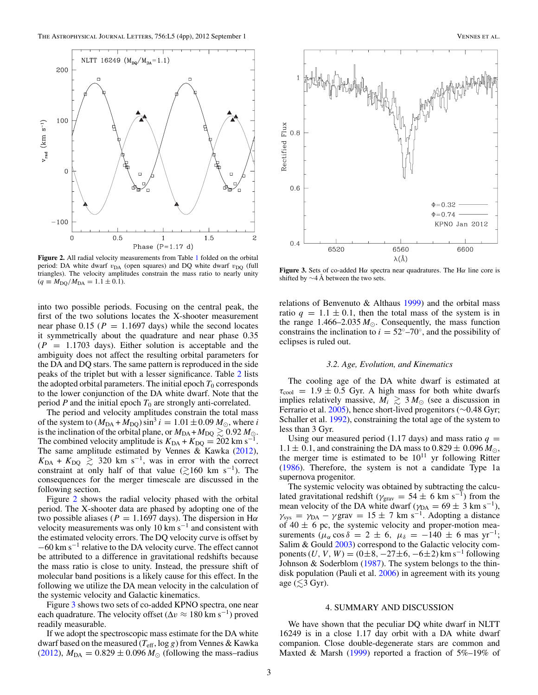<span id="page-3-0"></span>

**Figure 2.** All radial velocity measurements from Table [1](#page-2-0) folded on the orbital period: DA white dwarf  $v_{DA}$  (open squares) and DQ white dwarf  $v_{DQ}$  (full triangles). The velocity amplitudes constrain the mass ratio to nearly unity  $(q \equiv M_{\text{DQ}}/M_{\text{DA}} = 1.1 \pm 0.1).$ 

into two possible periods. Focusing on the central peak, the first of the two solutions locates the X-shooter measurement near phase  $0.15$  ( $P = 1.1697$  days) while the second locates it symmetrically about the quadrature and near phase 0.35  $(P = 1.1703$  days). Either solution is acceptable and the ambiguity does not affect the resulting orbital parameters for the DA and DQ stars. The same pattern is reproduced in the side peaks of the triplet but with a lesser significance. Table [2](#page-2-0) lists the adopted orbital parameters. The initial epoch  $T_0$  corresponds to the lower conjunction of the DA white dwarf. Note that the period  $P$  and the initial epoch  $T_0$  are strongly anti-correlated.

The period and velocity amplitudes constrain the total mass of the system to  $(M_{DA} + M_{DQ}) \sin^3 i = 1.01 \pm 0.09 M_{\odot}$ , where *i* is the inclination of the orbital plane, or  $M_{DA} + M_{DQ} \gtrsim 0.92 M_{\odot}$ . The combined velocity amplitude is  $K_{DA} + K_{DQ} = 202 \text{ km s}^{-1}$ . The same amplitude estimated by Vennes & Kawka  $(2012)$ ,  $K_{\text{DA}} + K_{\text{DQ}} \geq 320 \text{ km s}^{-1}$ , was in error with the correct constraint at only half of that value ( $\geq 160$  km s<sup>-1</sup>). The consequences for the merger timescale are discussed in the following section.

Figure 2 shows the radial velocity phased with the orbital period. The X-shooter data are phased by adopting one of the two possible aliases ( $P = 1.1697$  days). The dispersion in H $\alpha$ velocity measurements was only 10 km  $s^{-1}$  and consistent with the estimated velocity errors. The DQ velocity curve is offset by <sup>−</sup>60 km s−<sup>1</sup> relative to the DA velocity curve. The effect cannot be attributed to a difference in gravitational redshifts because the mass ratio is close to unity. Instead, the pressure shift of molecular band positions is a likely cause for this effect. In the following we utilize the DA mean velocity in the calculation of the systemic velocity and Galactic kinematics.

Figure 3 shows two sets of co-added KPNO spectra, one near each quadrature. The velocity offset ( $\Delta v \approx 180 \text{ km s}^{-1}$ ) proved readily measurable.

If we adopt the spectroscopic mass estimate for the DA white dwarf based on the measured (*T*eff, log *g*) from Vennes & Kawka [\(2012\)](#page-4-0),  $M_{DA} = 0.829 \pm 0.096 M_{\odot}$  (following the mass–radius



**Figure 3.** Sets of co-added H*α* spectra near quadratures. The H*α* line core is shifted by  $\sim$ 4 Å between the two sets.

relations of Benvenuto & Althaus [1999\)](#page-4-0) and the orbital mass ratio  $q = 1.1 \pm 0.1$ , then the total mass of the system is in the range  $1.466 - 2.035 M_{\odot}$ . Consequently, the mass function constrains the inclination to  $i = 52°-70°$ , and the possibility of eclipses is ruled out.

#### *3.2. Age, Evolution, and Kinematics*

The cooling age of the DA white dwarf is estimated at  $\tau_{\text{cool}}$  = 1.9  $\pm$  0.5 Gyr. A high mass for both white dwarfs implies relatively massive,  $M_i \geq 3 M_{\odot}$  (see a discussion in Ferrario et al. [2005\)](#page-4-0), hence short-lived progenitors (∼0*.*48 Gyr; Schaller et al. [1992\)](#page-4-0), constraining the total age of the system to less than 3 Gyr.

Using our measured period (1.17 days) and mass ratio  $q =$  $1.1 \pm 0.1$ , and constraining the DA mass to  $0.829 \pm 0.096 M_{\odot}$ , the merger time is estimated to be  $10^{11}$  yr following Ritter [\(1986\)](#page-4-0). Therefore, the system is not a candidate Type 1a supernova progenitor.

The systemic velocity was obtained by subtracting the calculated gravitational redshift ( $\gamma_{\text{grav}} = 54 \pm 6 \text{ km s}^{-1}$ ) from the mean velocity of the DA white dwarf ( $\gamma_{DA} = 69 \pm 3$  km s<sup>-1</sup>),  $\gamma_{sys} = \gamma_{DA} - \gamma$ grav = 15 ± 7 km s<sup>-1</sup>. Adopting a distance of  $40 \pm 6$  pc, the systemic velocity and proper-motion measurements ( $\mu_{\alpha}$  cos  $\delta = 2 \pm 6$ ,  $\mu_{\delta} = -140 \pm 6$  mas yr<sup>-1</sup>; Salim & Gould [2003\)](#page-4-0) correspond to the Galactic velocity components (*U*, *V*, *W*) = (0±8, -27±6, -6±2) km s<sup>-1</sup> following Johnson & Soderblom [\(1987\)](#page-4-0). The system belongs to the thin-disk population (Pauli et al. [2006\)](#page-4-0) in agreement with its young age ( $\lesssim$ 3 Gyr).

#### 4. SUMMARY AND DISCUSSION

We have shown that the peculiar DQ white dwarf in NLTT 16249 is in a close 1.17 day orbit with a DA white dwarf companion. Close double-degenerate stars are common and Maxted & Marsh [\(1999\)](#page-4-0) reported a fraction of  $5\%$ -19% of